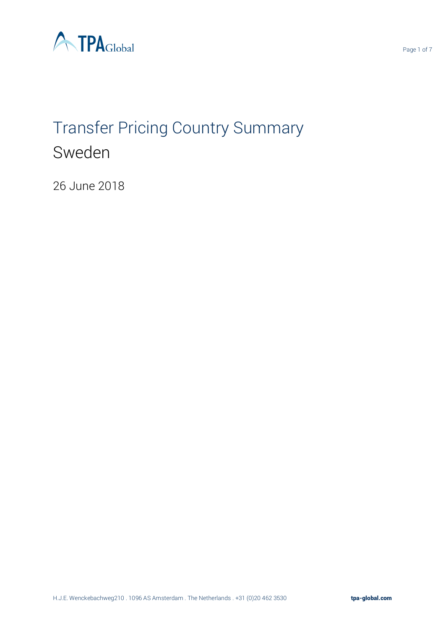

# Transfer Pricing Country Summary Sweden

26 June 2018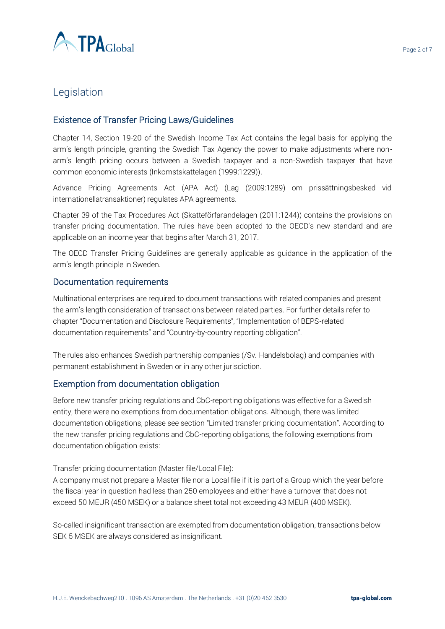

# **Legislation**

#### Existence of Transfer Pricing Laws/Guidelines

Chapter 14, Section 19-20 of the Swedish Income Tax Act contains the legal basis for applying the arm's length principle, granting the Swedish Tax Agency the power to make adjustments where nonarm's length pricing occurs between a Swedish taxpayer and a non-Swedish taxpayer that have common economic interests (Inkomstskattelagen (1999:1229)).

Advance Pricing Agreements Act (APA Act) (Lag (2009:1289) om prissättningsbesked vid internationellatransaktioner) regulates APA agreements.

Chapter 39 of the Tax Procedures Act (Skatteförfarandelagen (2011:1244)) contains the provisions on transfer pricing documentation. The rules have been adopted to the OECD's new standard and are applicable on an income year that begins after March 31, 2017.

The OECD Transfer Pricing Guidelines are generally applicable as guidance in the application of the arm's length principle in Sweden.

#### Documentation requirements

Multinational enterprises are required to document transactions with related companies and present the arm's length consideration of transactions between related parties. For further details refer to chapter "Documentation and Disclosure Requirements", "Implementation of BEPS-related documentation requirements" and "Country-by-country reporting obligation".

The rules also enhances Swedish partnership companies (/Sv. Handelsbolag) and companies with permanent establishment in Sweden or in any other jurisdiction.

#### Exemption from documentation obligation

Before new transfer pricing regulations and CbC-reporting obligations was effective for a Swedish entity, there were no exemptions from documentation obligations. Although, there was limited documentation obligations, please see section "Limited transfer pricing documentation". According to the new transfer pricing regulations and CbC-reporting obligations, the following exemptions from documentation obligation exists:

Transfer pricing documentation (Master file/Local File):

A company must not prepare a Master file nor a Local file if it is part of a Group which the year before the fiscal year in question had less than 250 employees and either have a turnover that does not exceed 50 MEUR (450 MSEK) or a balance sheet total not exceeding 43 MEUR (400 MSEK).

So-called insignificant transaction are exempted from documentation obligation, transactions below SEK 5 MSEK are always considered as insignificant.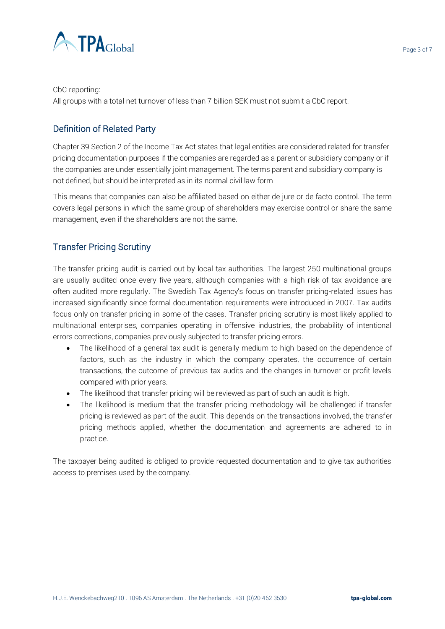

All groups with a total net turnover of less than 7 billion SEK must not submit a CbC report.

# Definition of Related Party

Chapter 39 Section 2 of the Income Tax Act states that legal entities are considered related for transfer pricing documentation purposes if the companies are regarded as a parent or subsidiary company or if the companies are under essentially joint management. The terms parent and subsidiary company is not defined, but should be interpreted as in its normal civil law form

This means that companies can also be affiliated based on either de jure or de facto control. The term covers legal persons in which the same group of shareholders may exercise control or share the same management, even if the shareholders are not the same.

### Transfer Pricing Scrutiny

The transfer pricing audit is carried out by local tax authorities. The largest 250 multinational groups are usually audited once every five years, although companies with a high risk of tax avoidance are often audited more regularly. The Swedish Tax Agency's focus on transfer pricing-related issues has increased significantly since formal documentation requirements were introduced in 2007. Tax audits focus only on transfer pricing in some of the cases. Transfer pricing scrutiny is most likely applied to multinational enterprises, companies operating in offensive industries, the probability of intentional errors corrections, companies previously subjected to transfer pricing errors.

- The likelihood of a general tax audit is generally medium to high based on the dependence of factors, such as the industry in which the company operates, the occurrence of certain transactions, the outcome of previous tax audits and the changes in turnover or profit levels compared with prior years.
- The likelihood that transfer pricing will be reviewed as part of such an audit is high.
- The likelihood is medium that the transfer pricing methodology will be challenged if transfer pricing is reviewed as part of the audit. This depends on the transactions involved, the transfer pricing methods applied, whether the documentation and agreements are adhered to in practice.

The taxpayer being audited is obliged to provide requested documentation and to give tax authorities access to premises used by the company.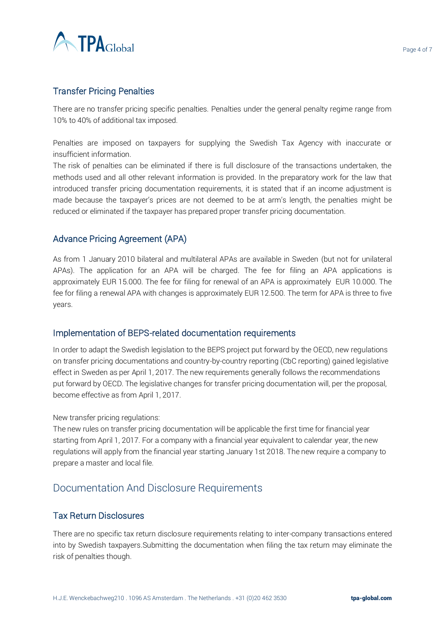

#### Transfer Pricing Penalties

There are no transfer pricing specific penalties. Penalties under the general penalty regime range from 10% to 40% of additional tax imposed.

Penalties are imposed on taxpayers for supplying the Swedish Tax Agency with inaccurate or insufficient information.

The risk of penalties can be eliminated if there is full disclosure of the transactions undertaken, the methods used and all other relevant information is provided. In the preparatory work for the law that introduced transfer pricing documentation requirements, it is stated that if an income adjustment is made because the taxpayer's prices are not deemed to be at arm's length, the penalties might be reduced or eliminated if the taxpayer has prepared proper transfer pricing documentation.

#### Advance Pricing Agreement (APA)

As from 1 January 2010 bilateral and multilateral APAs are available in Sweden (but not for unilateral APAs). The application for an APA will be charged. The fee for filing an APA applications is approximately EUR 15.000. The fee for filing for renewal of an APA is approximately EUR 10.000. The fee for filing a renewal APA with changes is approximately EUR 12.500. The term for APA is three to five years.

#### Implementation of BEPS-related documentation requirements

In order to adapt the Swedish legislation to the BEPS project put forward by the OECD, new regulations on transfer pricing documentations and country-by-country reporting (CbC reporting) gained legislative effect in Sweden as per April 1, 2017. The new requirements generally follows the recommendations put forward by OECD. The legislative changes for transfer pricing documentation will, per the proposal, become effective as from April 1, 2017.

#### New transfer pricing regulations:

The new rules on transfer pricing documentation will be applicable the first time for financial year starting from April 1, 2017. For a company with a financial year equivalent to calendar year, the new regulations will apply from the financial year starting January 1st 2018. The new require a company to prepare a master and local file.

# Documentation And Disclosure Requirements

#### Tax Return Disclosures

There are no specific tax return disclosure requirements relating to inter-company transactions entered into by Swedish taxpayers.Submitting the documentation when filing the tax return may eliminate the risk of penalties though.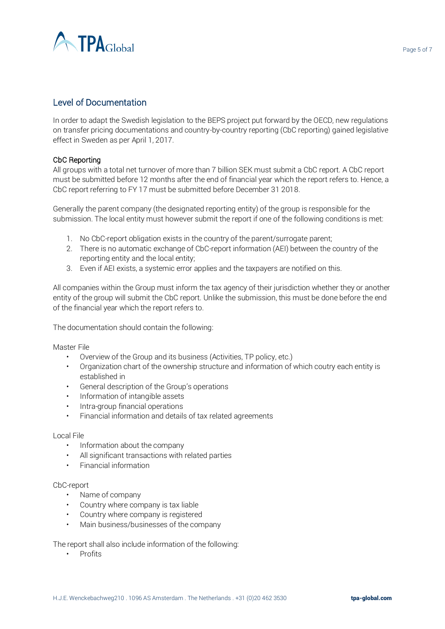

#### Level of Documentation

In order to adapt the Swedish legislation to the BEPS project put forward by the OECD, new regulations on transfer pricing documentations and country-by-country reporting (CbC reporting) gained legislative effect in Sweden as per April 1, 2017.

#### CbC Reporting

All groups with a total net turnover of more than 7 billion SEK must submit a CbC report. A CbC report must be submitted before 12 months after the end of financial year which the report refers to. Hence, a CbC report referring to FY 17 must be submitted before December 31 2018.

Generally the parent company (the designated reporting entity) of the group is responsible for the submission. The local entity must however submit the report if one of the following conditions is met:

- 1. No CbC-report obligation exists in the country of the parent/surrogate parent;
- 2. There is no automatic exchange of CbC-report information (AEI) between the country of the reporting entity and the local entity;
- 3. Even if AEI exists, a systemic error applies and the taxpayers are notified on this.

All companies within the Group must inform the tax agency of their jurisdiction whether they or another entity of the group will submit the CbC report. Unlike the submission, this must be done before the end of the financial year which the report refers to.

The documentation should contain the following:

Master File

- Overview of the Group and its business (Activities, TP policy, etc.)
- Organization chart of the ownership structure and information of which coutry each entity is established in
- General description of the Group's operations
- Information of intangible assets
- Intra-group financial operations
- Financial information and details of tax related agreements

#### Local File

- Information about the company
- All significant transactions with related parties
- Financial information

#### CbC-report

- Name of company
- Country where company is tax liable
- Country where company is registered
- Main business/businesses of the company

The report shall also include information of the following:

• Profits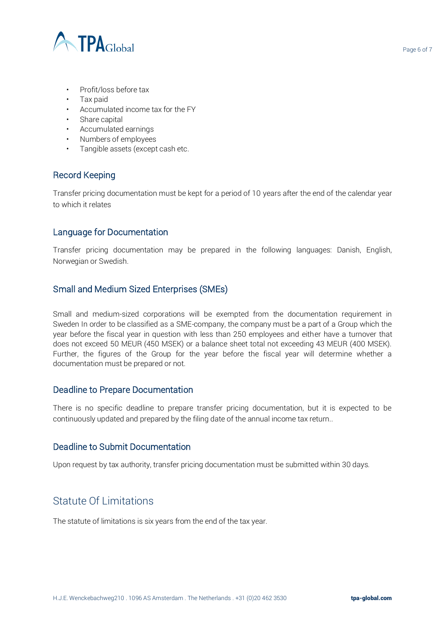

- Profit/loss before tax
- Tax paid
- Accumulated income tax for the FY
- Share capital
- Accumulated earnings
- Numbers of employees
- Tangible assets (except cash etc.

#### Record Keeping

Transfer pricing documentation must be kept for a period of 10 years after the end of the calendar year to which it relates

#### Language for Documentation

Transfer pricing documentation may be prepared in the following languages: Danish, English, Norwegian or Swedish.

#### Small and Medium Sized Enterprises (SMEs)

Small and medium-sized corporations will be exempted from the documentation requirement in Sweden In order to be classified as a SME-company, the company must be a part of a Group which the year before the fiscal year in question with less than 250 employees and either have a turnover that does not exceed 50 MEUR (450 MSEK) or a balance sheet total not exceeding 43 MEUR (400 MSEK). Further, the figures of the Group for the year before the fiscal year will determine whether a documentation must be prepared or not.

#### Deadline to Prepare Documentation

There is no specific deadline to prepare transfer pricing documentation, but it is expected to be continuously updated and prepared by the filing date of the annual income tax return..

#### Deadline to Submit Documentation

Upon request by tax authority, transfer pricing documentation must be submitted within 30 days.

# Statute Of Limitations

The statute of limitations is six years from the end of the tax year.